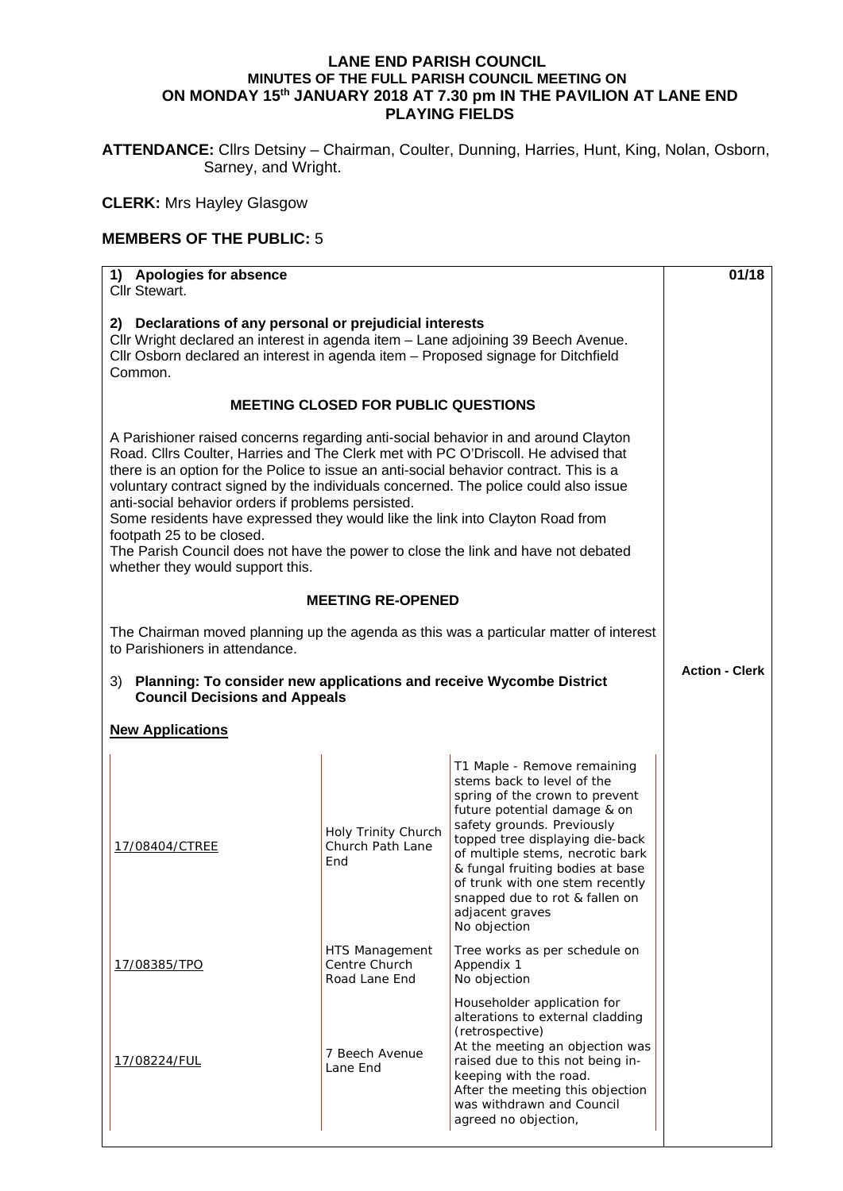## **LANE END PARISH COUNCIL MINUTES OF THE FULL PARISH COUNCIL MEETING ON ON MONDAY 15th JANUARY 2018 AT 7.30 pm IN THE PAVILION AT LANE END PLAYING FIELDS**

**ATTENDANCE:** Cllrs Detsiny – Chairman, Coulter, Dunning, Harries, Hunt, King, Nolan, Osborn, Sarney, and Wright.

**CLERK:** Mrs Hayley Glasgow

## **MEMBERS OF THE PUBLIC:** 5

| 1) Apologies for absence<br>Cllr Stewart.                                                                                                                                                                                                                                                                                                                                                                                                                                                                                                                                                                                                              |                                                  |                                                                                                                                                                                                                                                                                                                                                                              | 01/18                 |
|--------------------------------------------------------------------------------------------------------------------------------------------------------------------------------------------------------------------------------------------------------------------------------------------------------------------------------------------------------------------------------------------------------------------------------------------------------------------------------------------------------------------------------------------------------------------------------------------------------------------------------------------------------|--------------------------------------------------|------------------------------------------------------------------------------------------------------------------------------------------------------------------------------------------------------------------------------------------------------------------------------------------------------------------------------------------------------------------------------|-----------------------|
| 2) Declarations of any personal or prejudicial interests<br>Cllr Wright declared an interest in agenda item - Lane adjoining 39 Beech Avenue.<br>CIIr Osborn declared an interest in agenda item - Proposed signage for Ditchfield<br>Common.                                                                                                                                                                                                                                                                                                                                                                                                          |                                                  |                                                                                                                                                                                                                                                                                                                                                                              |                       |
| <b>MEETING CLOSED FOR PUBLIC QUESTIONS</b>                                                                                                                                                                                                                                                                                                                                                                                                                                                                                                                                                                                                             |                                                  |                                                                                                                                                                                                                                                                                                                                                                              |                       |
| A Parishioner raised concerns regarding anti-social behavior in and around Clayton<br>Road. Cllrs Coulter, Harries and The Clerk met with PC O'Driscoll. He advised that<br>there is an option for the Police to issue an anti-social behavior contract. This is a<br>voluntary contract signed by the individuals concerned. The police could also issue<br>anti-social behavior orders if problems persisted.<br>Some residents have expressed they would like the link into Clayton Road from<br>footpath 25 to be closed.<br>The Parish Council does not have the power to close the link and have not debated<br>whether they would support this. |                                                  |                                                                                                                                                                                                                                                                                                                                                                              |                       |
| <b>MEETING RE-OPENED</b>                                                                                                                                                                                                                                                                                                                                                                                                                                                                                                                                                                                                                               |                                                  |                                                                                                                                                                                                                                                                                                                                                                              |                       |
| The Chairman moved planning up the agenda as this was a particular matter of interest<br>to Parishioners in attendance.                                                                                                                                                                                                                                                                                                                                                                                                                                                                                                                                |                                                  |                                                                                                                                                                                                                                                                                                                                                                              |                       |
| Planning: To consider new applications and receive Wycombe District<br>3)<br><b>Council Decisions and Appeals</b>                                                                                                                                                                                                                                                                                                                                                                                                                                                                                                                                      |                                                  |                                                                                                                                                                                                                                                                                                                                                                              | <b>Action - Clerk</b> |
| <b>New Applications</b>                                                                                                                                                                                                                                                                                                                                                                                                                                                                                                                                                                                                                                |                                                  |                                                                                                                                                                                                                                                                                                                                                                              |                       |
| 17/08404/CTREE                                                                                                                                                                                                                                                                                                                                                                                                                                                                                                                                                                                                                                         | Holy Trinity Church<br>Church Path Lane<br>End   | T1 Maple - Remove remaining<br>stems back to level of the<br>spring of the crown to prevent<br>future potential damage & on<br>safety grounds. Previously<br>topped tree displaying die-back<br>of multiple stems, necrotic bark<br>& fungal fruiting bodies at base<br>of trunk with one stem recently<br>snapped due to rot & fallen on<br>adjacent graves<br>No objection |                       |
| 17/08385/TPO                                                                                                                                                                                                                                                                                                                                                                                                                                                                                                                                                                                                                                           | HTS Management<br>Centre Church<br>Road Lane End | Tree works as per schedule on<br>Appendix 1<br>No objection                                                                                                                                                                                                                                                                                                                  |                       |
| 17/08224/FUL                                                                                                                                                                                                                                                                                                                                                                                                                                                                                                                                                                                                                                           | 7 Beech Avenue<br>Lane End                       | Householder application for<br>alterations to external cladding<br>(retrospective)<br>At the meeting an objection was<br>raised due to this not being in-<br>keeping with the road.<br>After the meeting this objection<br>was withdrawn and Council<br>agreed no objection,                                                                                                 |                       |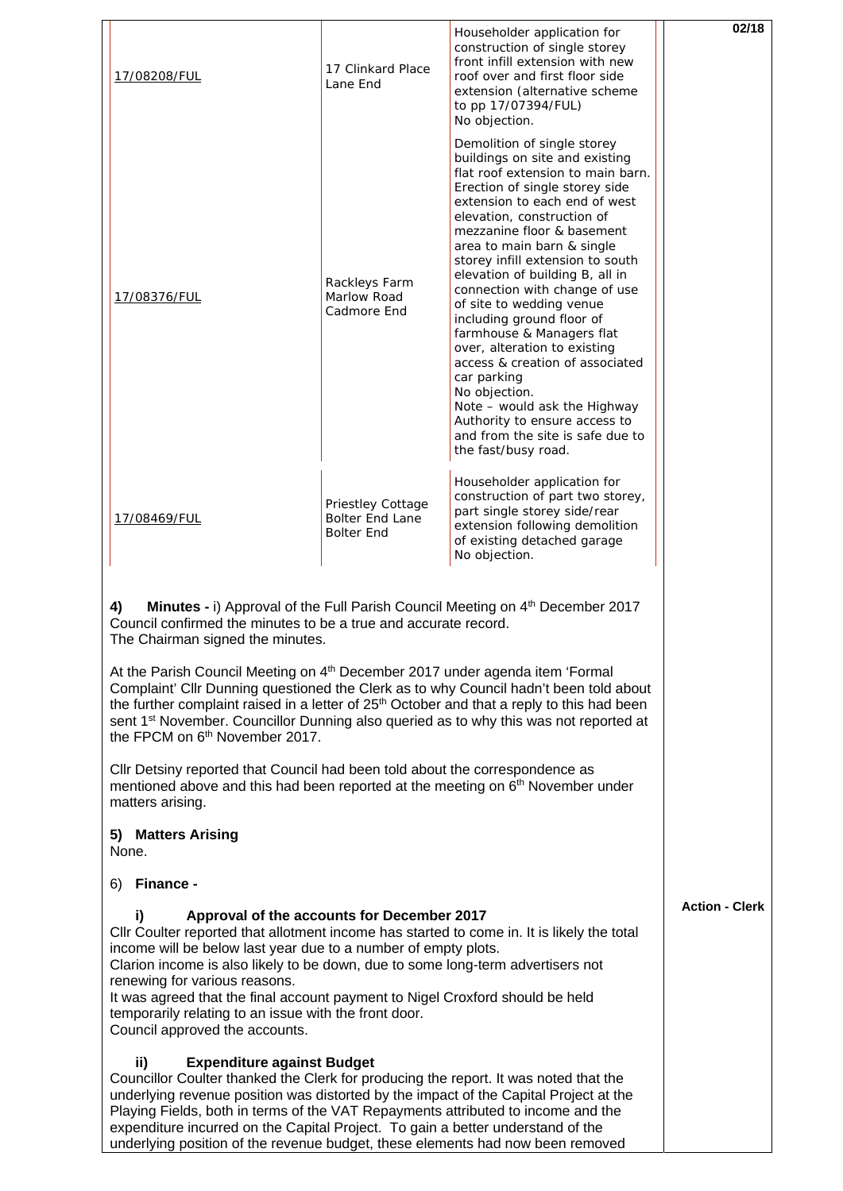|                                                                                                                                                                                                                                                                                                                                                                                                                                                                                    | 17/08208/FUL                                                                                                                                                                                                                                                                                                                                                                                                                                                                                                     | 17 Clinkard Place<br>Lane End                                    | Householder application for<br>construction of single storey<br>front infill extension with new<br>roof over and first floor side<br>extension (alternative scheme<br>to pp 17/07394/FUL)<br>No objection.                                                                                                                                                                                                                                                                                                                                                                                                                                                                                   | 02/18                 |
|------------------------------------------------------------------------------------------------------------------------------------------------------------------------------------------------------------------------------------------------------------------------------------------------------------------------------------------------------------------------------------------------------------------------------------------------------------------------------------|------------------------------------------------------------------------------------------------------------------------------------------------------------------------------------------------------------------------------------------------------------------------------------------------------------------------------------------------------------------------------------------------------------------------------------------------------------------------------------------------------------------|------------------------------------------------------------------|----------------------------------------------------------------------------------------------------------------------------------------------------------------------------------------------------------------------------------------------------------------------------------------------------------------------------------------------------------------------------------------------------------------------------------------------------------------------------------------------------------------------------------------------------------------------------------------------------------------------------------------------------------------------------------------------|-----------------------|
|                                                                                                                                                                                                                                                                                                                                                                                                                                                                                    | 17/08376/FUL                                                                                                                                                                                                                                                                                                                                                                                                                                                                                                     | Rackleys Farm<br>Marlow Road<br>Cadmore End                      | Demolition of single storey<br>buildings on site and existing<br>flat roof extension to main barn.<br>Erection of single storey side<br>extension to each end of west<br>elevation, construction of<br>mezzanine floor & basement<br>area to main barn & single<br>storey infill extension to south<br>elevation of building B, all in<br>connection with change of use<br>of site to wedding venue<br>including ground floor of<br>farmhouse & Managers flat<br>over, alteration to existing<br>access & creation of associated<br>car parking<br>No objection.<br>Note - would ask the Highway<br>Authority to ensure access to<br>and from the site is safe due to<br>the fast/busy road. |                       |
|                                                                                                                                                                                                                                                                                                                                                                                                                                                                                    | 17/08469/FUL                                                                                                                                                                                                                                                                                                                                                                                                                                                                                                     | Priestley Cottage<br><b>Bolter End Lane</b><br><b>Bolter End</b> | Householder application for<br>construction of part two storey,<br>part single storey side/rear<br>extension following demolition<br>of existing detached garage<br>No objection.                                                                                                                                                                                                                                                                                                                                                                                                                                                                                                            |                       |
|                                                                                                                                                                                                                                                                                                                                                                                                                                                                                    | 4)<br>Council confirmed the minutes to be a true and accurate record.<br>The Chairman signed the minutes.                                                                                                                                                                                                                                                                                                                                                                                                        |                                                                  | <b>Minutes - i)</b> Approval of the Full Parish Council Meeting on 4 <sup>th</sup> December 2017                                                                                                                                                                                                                                                                                                                                                                                                                                                                                                                                                                                             |                       |
|                                                                                                                                                                                                                                                                                                                                                                                                                                                                                    | At the Parish Council Meeting on 4 <sup>th</sup> December 2017 under agenda item 'Formal<br>Complaint' Cllr Dunning questioned the Clerk as to why Council hadn't been told about<br>the further complaint raised in a letter of 25 <sup>th</sup> October and that a reply to this had been<br>sent 1 <sup>st</sup> November. Councillor Dunning also queried as to why this was not reported at<br>the FPCM on 6 <sup>th</sup> November 2017.                                                                   |                                                                  |                                                                                                                                                                                                                                                                                                                                                                                                                                                                                                                                                                                                                                                                                              |                       |
|                                                                                                                                                                                                                                                                                                                                                                                                                                                                                    | Cllr Detsiny reported that Council had been told about the correspondence as<br>mentioned above and this had been reported at the meeting on 6 <sup>th</sup> November under<br>matters arising.                                                                                                                                                                                                                                                                                                                  |                                                                  |                                                                                                                                                                                                                                                                                                                                                                                                                                                                                                                                                                                                                                                                                              |                       |
|                                                                                                                                                                                                                                                                                                                                                                                                                                                                                    | 5) Matters Arising<br>None.                                                                                                                                                                                                                                                                                                                                                                                                                                                                                      |                                                                  |                                                                                                                                                                                                                                                                                                                                                                                                                                                                                                                                                                                                                                                                                              |                       |
|                                                                                                                                                                                                                                                                                                                                                                                                                                                                                    | Finance -<br>6)                                                                                                                                                                                                                                                                                                                                                                                                                                                                                                  |                                                                  |                                                                                                                                                                                                                                                                                                                                                                                                                                                                                                                                                                                                                                                                                              |                       |
|                                                                                                                                                                                                                                                                                                                                                                                                                                                                                    | i)<br>Approval of the accounts for December 2017<br>CIIr Coulter reported that allotment income has started to come in. It is likely the total<br>income will be below last year due to a number of empty plots.<br>Clarion income is also likely to be down, due to some long-term advertisers not<br>renewing for various reasons.<br>It was agreed that the final account payment to Nigel Croxford should be held<br>temporarily relating to an issue with the front door.<br>Council approved the accounts. |                                                                  |                                                                                                                                                                                                                                                                                                                                                                                                                                                                                                                                                                                                                                                                                              | <b>Action - Clerk</b> |
| <b>Expenditure against Budget</b><br>ii)<br>Councillor Coulter thanked the Clerk for producing the report. It was noted that the<br>underlying revenue position was distorted by the impact of the Capital Project at the<br>Playing Fields, both in terms of the VAT Repayments attributed to income and the<br>expenditure incurred on the Capital Project. To gain a better understand of the<br>underlying position of the revenue budget, these elements had now been removed |                                                                                                                                                                                                                                                                                                                                                                                                                                                                                                                  |                                                                  |                                                                                                                                                                                                                                                                                                                                                                                                                                                                                                                                                                                                                                                                                              |                       |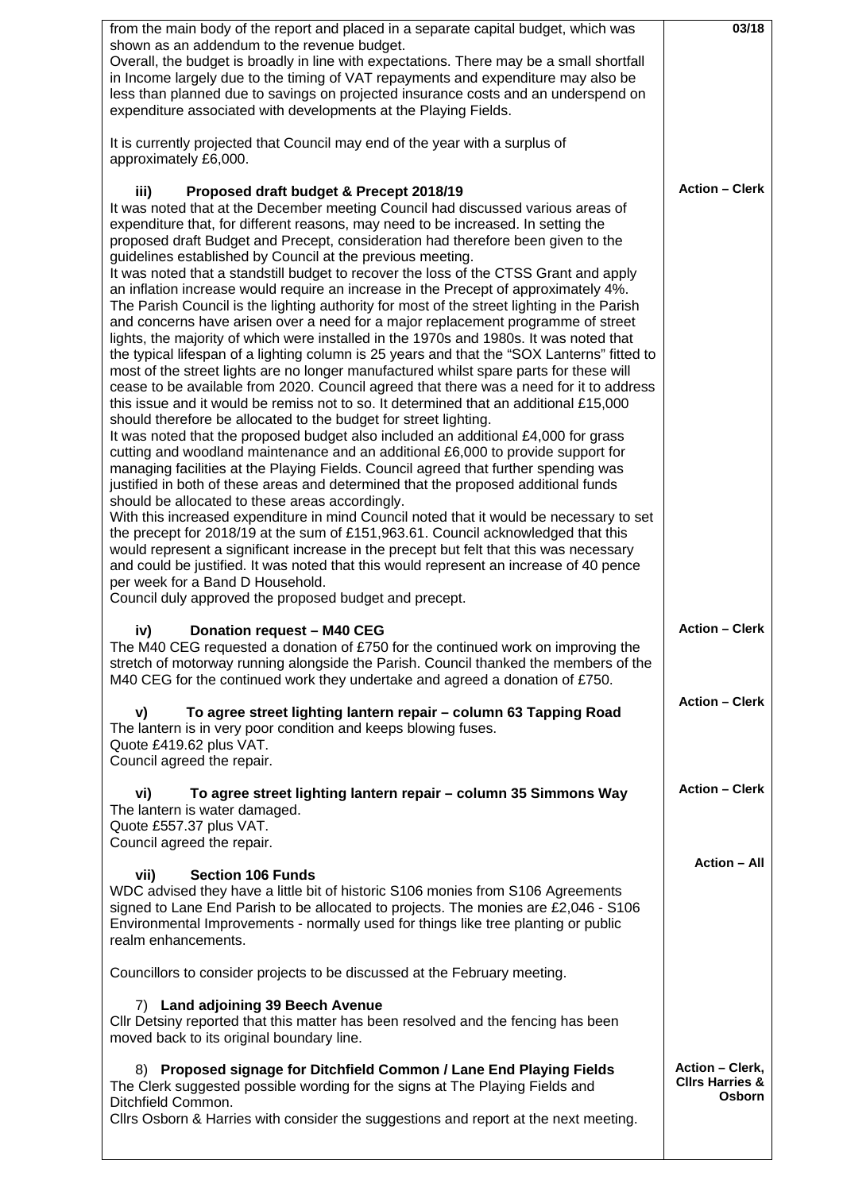| from the main body of the report and placed in a separate capital budget, which was                                                                                               | 03/18                                                |
|-----------------------------------------------------------------------------------------------------------------------------------------------------------------------------------|------------------------------------------------------|
| shown as an addendum to the revenue budget.                                                                                                                                       |                                                      |
| Overall, the budget is broadly in line with expectations. There may be a small shortfall<br>in Income largely due to the timing of VAT repayments and expenditure may also be     |                                                      |
| less than planned due to savings on projected insurance costs and an underspend on                                                                                                |                                                      |
| expenditure associated with developments at the Playing Fields.                                                                                                                   |                                                      |
|                                                                                                                                                                                   |                                                      |
| It is currently projected that Council may end of the year with a surplus of                                                                                                      |                                                      |
| approximately £6,000.                                                                                                                                                             |                                                      |
| iii)<br>Proposed draft budget & Precept 2018/19                                                                                                                                   | <b>Action - Clerk</b>                                |
| It was noted that at the December meeting Council had discussed various areas of                                                                                                  |                                                      |
| expenditure that, for different reasons, may need to be increased. In setting the                                                                                                 |                                                      |
| proposed draft Budget and Precept, consideration had therefore been given to the                                                                                                  |                                                      |
| guidelines established by Council at the previous meeting.                                                                                                                        |                                                      |
| It was noted that a standstill budget to recover the loss of the CTSS Grant and apply                                                                                             |                                                      |
| an inflation increase would require an increase in the Precept of approximately 4%.<br>The Parish Council is the lighting authority for most of the street lighting in the Parish |                                                      |
| and concerns have arisen over a need for a major replacement programme of street                                                                                                  |                                                      |
| lights, the majority of which were installed in the 1970s and 1980s. It was noted that                                                                                            |                                                      |
| the typical lifespan of a lighting column is 25 years and that the "SOX Lanterns" fitted to                                                                                       |                                                      |
| most of the street lights are no longer manufactured whilst spare parts for these will<br>cease to be available from 2020. Council agreed that there was a need for it to address |                                                      |
| this issue and it would be remiss not to so. It determined that an additional £15,000                                                                                             |                                                      |
| should therefore be allocated to the budget for street lighting.                                                                                                                  |                                                      |
| It was noted that the proposed budget also included an additional £4,000 for grass                                                                                                |                                                      |
| cutting and woodland maintenance and an additional £6,000 to provide support for                                                                                                  |                                                      |
| managing facilities at the Playing Fields. Council agreed that further spending was<br>justified in both of these areas and determined that the proposed additional funds         |                                                      |
| should be allocated to these areas accordingly.                                                                                                                                   |                                                      |
| With this increased expenditure in mind Council noted that it would be necessary to set                                                                                           |                                                      |
| the precept for 2018/19 at the sum of £151,963.61. Council acknowledged that this                                                                                                 |                                                      |
| would represent a significant increase in the precept but felt that this was necessary                                                                                            |                                                      |
| and could be justified. It was noted that this would represent an increase of 40 pence<br>per week for a Band D Household.                                                        |                                                      |
| Council duly approved the proposed budget and precept.                                                                                                                            |                                                      |
|                                                                                                                                                                                   |                                                      |
| Donation request - M40 CEG<br>iv)                                                                                                                                                 | <b>Action - Clerk</b>                                |
| The M40 CEG requested a donation of £750 for the continued work on improving the                                                                                                  |                                                      |
| stretch of motorway running alongside the Parish. Council thanked the members of the<br>M40 CEG for the continued work they undertake and agreed a donation of £750.              |                                                      |
|                                                                                                                                                                                   | <b>Action - Clerk</b>                                |
| To agree street lighting lantern repair - column 63 Tapping Road<br>V)                                                                                                            |                                                      |
| The lantern is in very poor condition and keeps blowing fuses.                                                                                                                    |                                                      |
| Quote £419.62 plus VAT.                                                                                                                                                           |                                                      |
| Council agreed the repair.                                                                                                                                                        |                                                      |
| To agree street lighting lantern repair - column 35 Simmons Way<br>vi)                                                                                                            | <b>Action - Clerk</b>                                |
| The lantern is water damaged.                                                                                                                                                     |                                                      |
| Quote £557.37 plus VAT.                                                                                                                                                           |                                                      |
| Council agreed the repair.                                                                                                                                                        |                                                      |
| <b>Section 106 Funds</b><br>vii)                                                                                                                                                  | <b>Action - All</b>                                  |
| WDC advised they have a little bit of historic S106 monies from S106 Agreements                                                                                                   |                                                      |
| signed to Lane End Parish to be allocated to projects. The monies are £2,046 - S106                                                                                               |                                                      |
| Environmental Improvements - normally used for things like tree planting or public<br>realm enhancements.                                                                         |                                                      |
|                                                                                                                                                                                   |                                                      |
| Councillors to consider projects to be discussed at the February meeting.                                                                                                         |                                                      |
|                                                                                                                                                                                   |                                                      |
| 7) Land adjoining 39 Beech Avenue<br>CIIr Detsiny reported that this matter has been resolved and the fencing has been                                                            |                                                      |
| moved back to its original boundary line.                                                                                                                                         |                                                      |
|                                                                                                                                                                                   |                                                      |
| 8) Proposed signage for Ditchfield Common / Lane End Playing Fields                                                                                                               | <b>Action - Clerk,</b><br><b>Clirs Harries &amp;</b> |
| The Clerk suggested possible wording for the signs at The Playing Fields and<br>Ditchfield Common.                                                                                | <b>Osborn</b>                                        |
| CIIrs Osborn & Harries with consider the suggestions and report at the next meeting.                                                                                              |                                                      |
|                                                                                                                                                                                   |                                                      |
|                                                                                                                                                                                   |                                                      |

 $\mathsf{l}$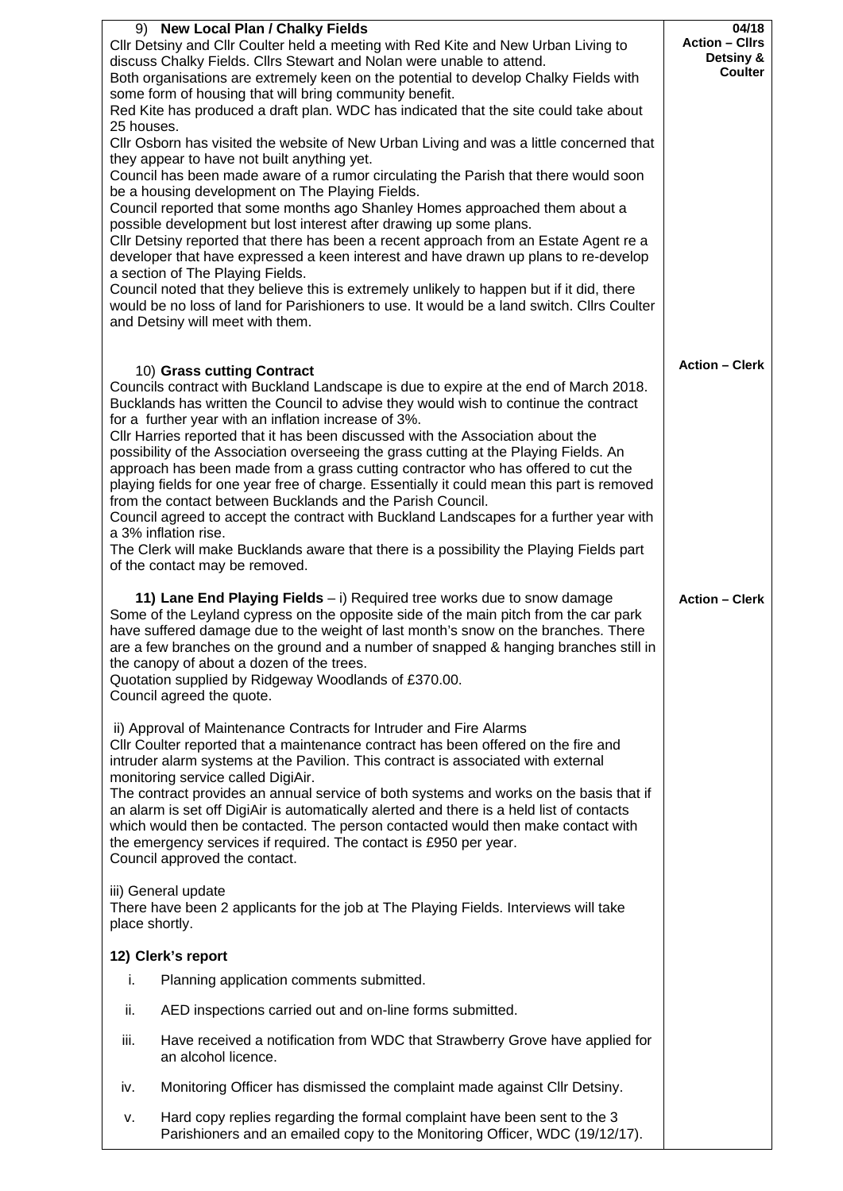|                |                                                                                                                                                                                                                                                                                                                                                                                                                                                                                 | 04/18                                                |
|----------------|---------------------------------------------------------------------------------------------------------------------------------------------------------------------------------------------------------------------------------------------------------------------------------------------------------------------------------------------------------------------------------------------------------------------------------------------------------------------------------|------------------------------------------------------|
|                | 9) New Local Plan / Chalky Fields<br>Cllr Detsiny and Cllr Coulter held a meeting with Red Kite and New Urban Living to<br>discuss Chalky Fields. Cllrs Stewart and Nolan were unable to attend.<br>Both organisations are extremely keen on the potential to develop Chalky Fields with<br>some form of housing that will bring community benefit.                                                                                                                             | <b>Action - Cllrs</b><br>Detsiny &<br><b>Coulter</b> |
|                | Red Kite has produced a draft plan. WDC has indicated that the site could take about                                                                                                                                                                                                                                                                                                                                                                                            |                                                      |
| 25 houses.     | CIIr Osborn has visited the website of New Urban Living and was a little concerned that                                                                                                                                                                                                                                                                                                                                                                                         |                                                      |
|                | they appear to have not built anything yet.<br>Council has been made aware of a rumor circulating the Parish that there would soon                                                                                                                                                                                                                                                                                                                                              |                                                      |
|                | be a housing development on The Playing Fields.<br>Council reported that some months ago Shanley Homes approached them about a                                                                                                                                                                                                                                                                                                                                                  |                                                      |
|                | possible development but lost interest after drawing up some plans.                                                                                                                                                                                                                                                                                                                                                                                                             |                                                      |
|                | Cllr Detsiny reported that there has been a recent approach from an Estate Agent re a<br>developer that have expressed a keen interest and have drawn up plans to re-develop<br>a section of The Playing Fields.                                                                                                                                                                                                                                                                |                                                      |
|                | Council noted that they believe this is extremely unlikely to happen but if it did, there                                                                                                                                                                                                                                                                                                                                                                                       |                                                      |
|                | would be no loss of land for Parishioners to use. It would be a land switch. Cllrs Coulter<br>and Detsiny will meet with them.                                                                                                                                                                                                                                                                                                                                                  |                                                      |
|                |                                                                                                                                                                                                                                                                                                                                                                                                                                                                                 |                                                      |
|                | 10) Grass cutting Contract                                                                                                                                                                                                                                                                                                                                                                                                                                                      | <b>Action - Clerk</b>                                |
|                | Councils contract with Buckland Landscape is due to expire at the end of March 2018.<br>Bucklands has written the Council to advise they would wish to continue the contract                                                                                                                                                                                                                                                                                                    |                                                      |
|                | for a further year with an inflation increase of 3%.<br>CIIr Harries reported that it has been discussed with the Association about the                                                                                                                                                                                                                                                                                                                                         |                                                      |
|                | possibility of the Association overseeing the grass cutting at the Playing Fields. An                                                                                                                                                                                                                                                                                                                                                                                           |                                                      |
|                | approach has been made from a grass cutting contractor who has offered to cut the<br>playing fields for one year free of charge. Essentially it could mean this part is removed                                                                                                                                                                                                                                                                                                 |                                                      |
|                | from the contact between Bucklands and the Parish Council.                                                                                                                                                                                                                                                                                                                                                                                                                      |                                                      |
|                | Council agreed to accept the contract with Buckland Landscapes for a further year with<br>a 3% inflation rise.                                                                                                                                                                                                                                                                                                                                                                  |                                                      |
|                | The Clerk will make Bucklands aware that there is a possibility the Playing Fields part<br>of the contact may be removed.                                                                                                                                                                                                                                                                                                                                                       |                                                      |
|                | 11) Lane End Playing Fields - i) Required tree works due to snow damage<br>Some of the Leyland cypress on the opposite side of the main pitch from the car park<br>have suffered damage due to the weight of last month's snow on the branches. There<br>are a few branches on the ground and a number of snapped & hanging branches still in<br>the canopy of about a dozen of the trees.<br>Quotation supplied by Ridgeway Woodlands of £370.00.<br>Council agreed the quote. | <b>Action - Clerk</b>                                |
|                | ii) Approval of Maintenance Contracts for Intruder and Fire Alarms                                                                                                                                                                                                                                                                                                                                                                                                              |                                                      |
|                | CIIr Coulter reported that a maintenance contract has been offered on the fire and                                                                                                                                                                                                                                                                                                                                                                                              |                                                      |
|                | intruder alarm systems at the Pavilion. This contract is associated with external<br>monitoring service called DigiAir.                                                                                                                                                                                                                                                                                                                                                         |                                                      |
|                | The contract provides an annual service of both systems and works on the basis that if                                                                                                                                                                                                                                                                                                                                                                                          |                                                      |
|                | an alarm is set off DigiAir is automatically alerted and there is a held list of contacts<br>which would then be contacted. The person contacted would then make contact with                                                                                                                                                                                                                                                                                                   |                                                      |
|                | the emergency services if required. The contact is £950 per year.                                                                                                                                                                                                                                                                                                                                                                                                               |                                                      |
|                | Council approved the contact.                                                                                                                                                                                                                                                                                                                                                                                                                                                   |                                                      |
| place shortly. | iii) General update<br>There have been 2 applicants for the job at The Playing Fields. Interviews will take                                                                                                                                                                                                                                                                                                                                                                     |                                                      |
|                | 12) Clerk's report                                                                                                                                                                                                                                                                                                                                                                                                                                                              |                                                      |
| i.             | Planning application comments submitted.                                                                                                                                                                                                                                                                                                                                                                                                                                        |                                                      |
|                |                                                                                                                                                                                                                                                                                                                                                                                                                                                                                 |                                                      |
| ii.            | AED inspections carried out and on-line forms submitted.                                                                                                                                                                                                                                                                                                                                                                                                                        |                                                      |
| iii.           | Have received a notification from WDC that Strawberry Grove have applied for<br>an alcohol licence.                                                                                                                                                                                                                                                                                                                                                                             |                                                      |
| iv.            | Monitoring Officer has dismissed the complaint made against Cllr Detsiny.                                                                                                                                                                                                                                                                                                                                                                                                       |                                                      |
| ۷.             | Hard copy replies regarding the formal complaint have been sent to the 3<br>Parishioners and an emailed copy to the Monitoring Officer, WDC (19/12/17).                                                                                                                                                                                                                                                                                                                         |                                                      |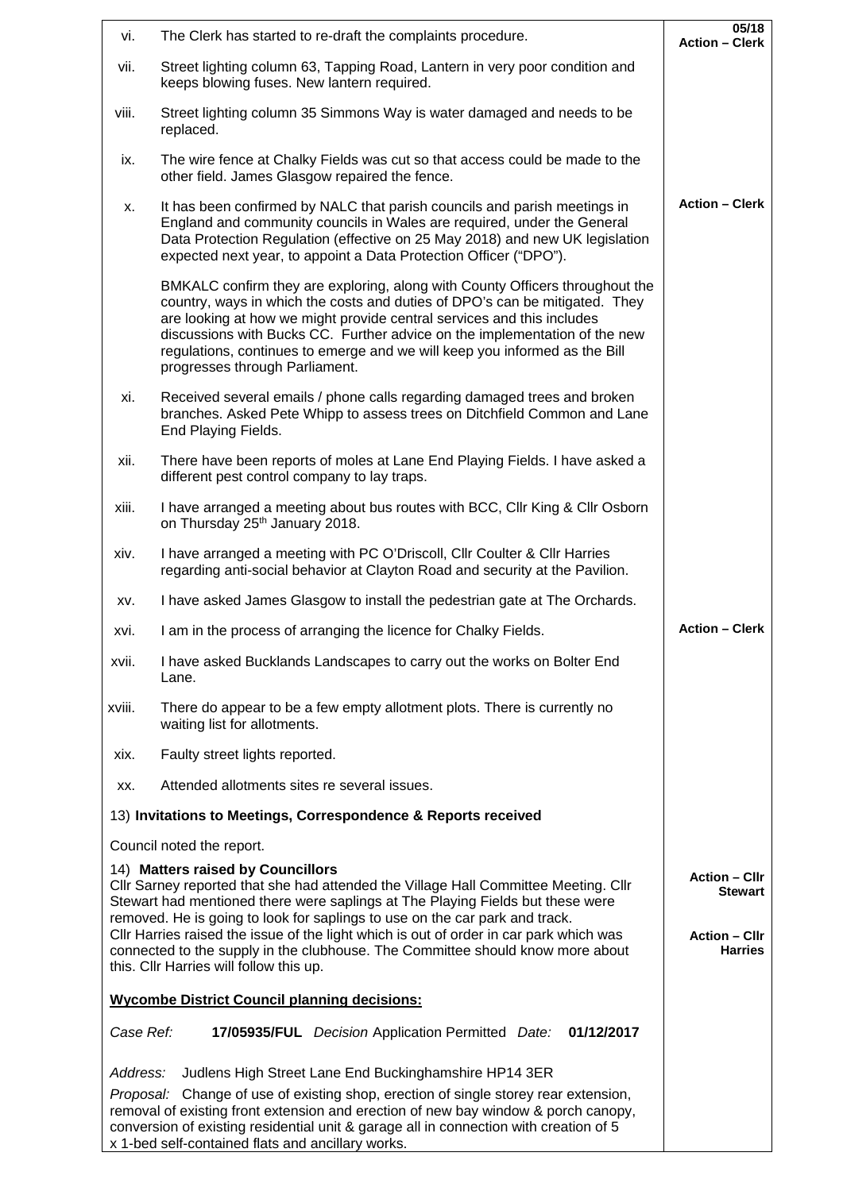| vi.                                                 | The Clerk has started to re-draft the complaints procedure.                                                                                                                                                                                                                                                                                                                                                                         | 05/18<br><b>Action - Clerk</b>         |
|-----------------------------------------------------|-------------------------------------------------------------------------------------------------------------------------------------------------------------------------------------------------------------------------------------------------------------------------------------------------------------------------------------------------------------------------------------------------------------------------------------|----------------------------------------|
| vii.                                                | Street lighting column 63, Tapping Road, Lantern in very poor condition and<br>keeps blowing fuses. New lantern required.                                                                                                                                                                                                                                                                                                           |                                        |
| viii.                                               | Street lighting column 35 Simmons Way is water damaged and needs to be<br>replaced.                                                                                                                                                                                                                                                                                                                                                 |                                        |
| ix.                                                 | The wire fence at Chalky Fields was cut so that access could be made to the<br>other field. James Glasgow repaired the fence.                                                                                                                                                                                                                                                                                                       |                                        |
| х.                                                  | It has been confirmed by NALC that parish councils and parish meetings in<br>England and community councils in Wales are required, under the General<br>Data Protection Regulation (effective on 25 May 2018) and new UK legislation<br>expected next year, to appoint a Data Protection Officer ("DPO").                                                                                                                           | <b>Action – Clerk</b>                  |
|                                                     | BMKALC confirm they are exploring, along with County Officers throughout the<br>country, ways in which the costs and duties of DPO's can be mitigated. They<br>are looking at how we might provide central services and this includes<br>discussions with Bucks CC. Further advice on the implementation of the new<br>regulations, continues to emerge and we will keep you informed as the Bill<br>progresses through Parliament. |                                        |
| xi.                                                 | Received several emails / phone calls regarding damaged trees and broken<br>branches. Asked Pete Whipp to assess trees on Ditchfield Common and Lane<br>End Playing Fields.                                                                                                                                                                                                                                                         |                                        |
| xii.                                                | There have been reports of moles at Lane End Playing Fields. I have asked a<br>different pest control company to lay traps.                                                                                                                                                                                                                                                                                                         |                                        |
| xiii.                                               | I have arranged a meeting about bus routes with BCC, CIIr King & CIIr Osborn<br>on Thursday 25 <sup>th</sup> January 2018.                                                                                                                                                                                                                                                                                                          |                                        |
| xiv.                                                | I have arranged a meeting with PC O'Driscoll, Cllr Coulter & Cllr Harries<br>regarding anti-social behavior at Clayton Road and security at the Pavilion.                                                                                                                                                                                                                                                                           |                                        |
| XV.                                                 | I have asked James Glasgow to install the pedestrian gate at The Orchards.                                                                                                                                                                                                                                                                                                                                                          |                                        |
| xvi.                                                | I am in the process of arranging the licence for Chalky Fields.                                                                                                                                                                                                                                                                                                                                                                     | <b>Action - Clerk</b>                  |
| xvii.                                               | I have asked Bucklands Landscapes to carry out the works on Bolter End<br>Lane.                                                                                                                                                                                                                                                                                                                                                     |                                        |
| xviii.                                              | There do appear to be a few empty allotment plots. There is currently no<br>waiting list for allotments.                                                                                                                                                                                                                                                                                                                            |                                        |
| xix.                                                | Faulty street lights reported.                                                                                                                                                                                                                                                                                                                                                                                                      |                                        |
| XX.                                                 | Attended allotments sites re several issues.                                                                                                                                                                                                                                                                                                                                                                                        |                                        |
|                                                     | 13) Invitations to Meetings, Correspondence & Reports received                                                                                                                                                                                                                                                                                                                                                                      |                                        |
|                                                     | Council noted the report.                                                                                                                                                                                                                                                                                                                                                                                                           |                                        |
|                                                     | 14) Matters raised by Councillors<br>CIIr Sarney reported that she had attended the Village Hall Committee Meeting. CIIr<br>Stewart had mentioned there were saplings at The Playing Fields but these were<br>removed. He is going to look for saplings to use on the car park and track.                                                                                                                                           | <b>Action - Cllr</b><br>Stewart        |
|                                                     | CIIr Harries raised the issue of the light which is out of order in car park which was<br>connected to the supply in the clubhouse. The Committee should know more about<br>this. Cllr Harries will follow this up.                                                                                                                                                                                                                 | <b>Action - Cllr</b><br><b>Harries</b> |
| <b>Wycombe District Council planning decisions:</b> |                                                                                                                                                                                                                                                                                                                                                                                                                                     |                                        |
| Case Ref:                                           | 17/05935/FUL Decision Application Permitted Date: 01/12/2017                                                                                                                                                                                                                                                                                                                                                                        |                                        |
| Address:                                            | Judlens High Street Lane End Buckinghamshire HP14 3ER                                                                                                                                                                                                                                                                                                                                                                               |                                        |
|                                                     | Proposal: Change of use of existing shop, erection of single storey rear extension,<br>removal of existing front extension and erection of new bay window & porch canopy,<br>conversion of existing residential unit & garage all in connection with creation of 5<br>x 1-bed self-contained flats and ancillary works.                                                                                                             |                                        |